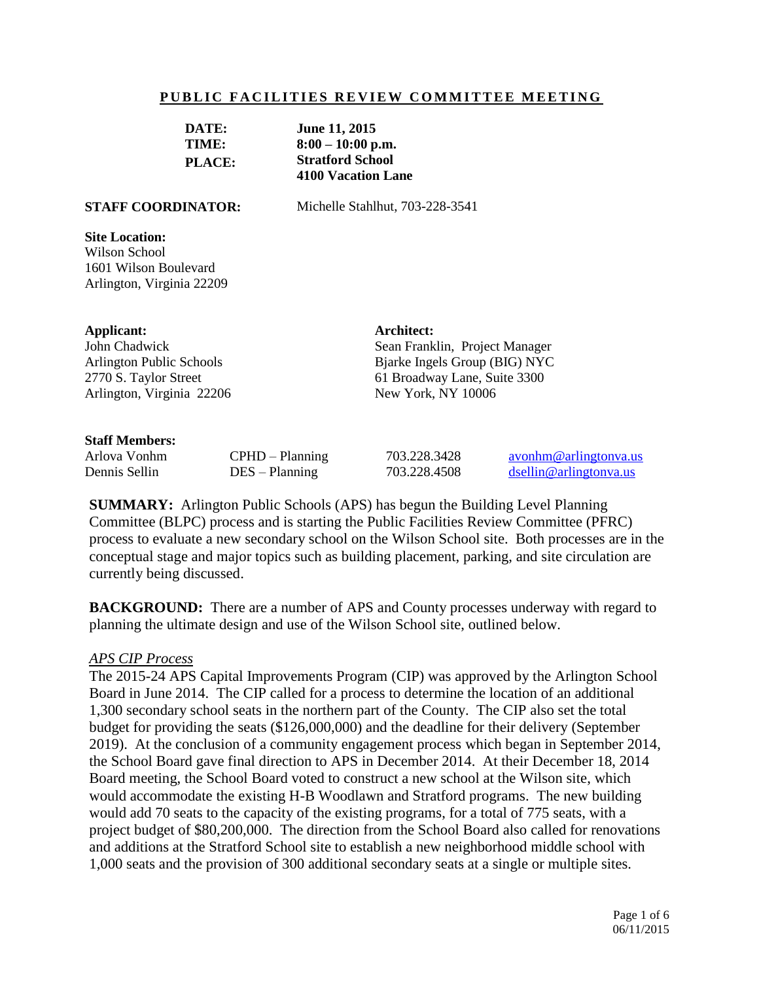### **PUBLIC FACILITIES REVIEW COMMITTEE MEETING**

| DATE:         | June 11, 2015             |
|---------------|---------------------------|
| TIME:         | $8:00 - 10:00$ p.m.       |
| <b>PLACE:</b> | <b>Stratford School</b>   |
|               | <b>4100 Vacation Lane</b> |

**STAFF COORDINATOR:** Michelle Stahlhut, 703-228-3541

#### **Site Location:**

Wilson School 1601 Wilson Boulevard Arlington, Virginia 22209

#### **Applicant:**

John Chadwick Arlington Public Schools 2770 S. Taylor Street Arlington, Virginia 22206

#### **Staff Members:**

Arlova Vonhm CPHD – Planning 703.228.3428 [avonhm@arlingtonva.us](mailto:avonhm@arlingtonva.us) Dennis Sellin DES – Planning 703.228.4508 [dsellin@arlingtonva.us](mailto:dsellin@arlingtonva.us)

**Architect:**

Sean Franklin, Project Manager Bjarke Ingels Group (BIG) NYC 61 Broadway Lane, Suite 3300

New York, NY 10006

**SUMMARY:** Arlington Public Schools (APS) has begun the Building Level Planning Committee (BLPC) process and is starting the Public Facilities Review Committee (PFRC) process to evaluate a new secondary school on the Wilson School site. Both processes are in the conceptual stage and major topics such as building placement, parking, and site circulation are currently being discussed.

**BACKGROUND:** There are a number of APS and County processes underway with regard to planning the ultimate design and use of the Wilson School site, outlined below.

#### *APS CIP Process*

The 2015-24 APS Capital Improvements Program (CIP) was approved by the Arlington School Board in June 2014. The CIP called for a process to determine the location of an additional 1,300 secondary school seats in the northern part of the County. The CIP also set the total budget for providing the seats (\$126,000,000) and the deadline for their delivery (September 2019). At the conclusion of a community engagement process which began in September 2014, the School Board gave final direction to APS in December 2014. At their December 18, 2014 Board meeting, the School Board voted to construct a new school at the Wilson site, which would accommodate the existing H-B Woodlawn and Stratford programs. The new building would add 70 seats to the capacity of the existing programs, for a total of 775 seats, with a project budget of \$80,200,000. The direction from the School Board also called for renovations and additions at the Stratford School site to establish a new neighborhood middle school with 1,000 seats and the provision of 300 additional secondary seats at a single or multiple sites.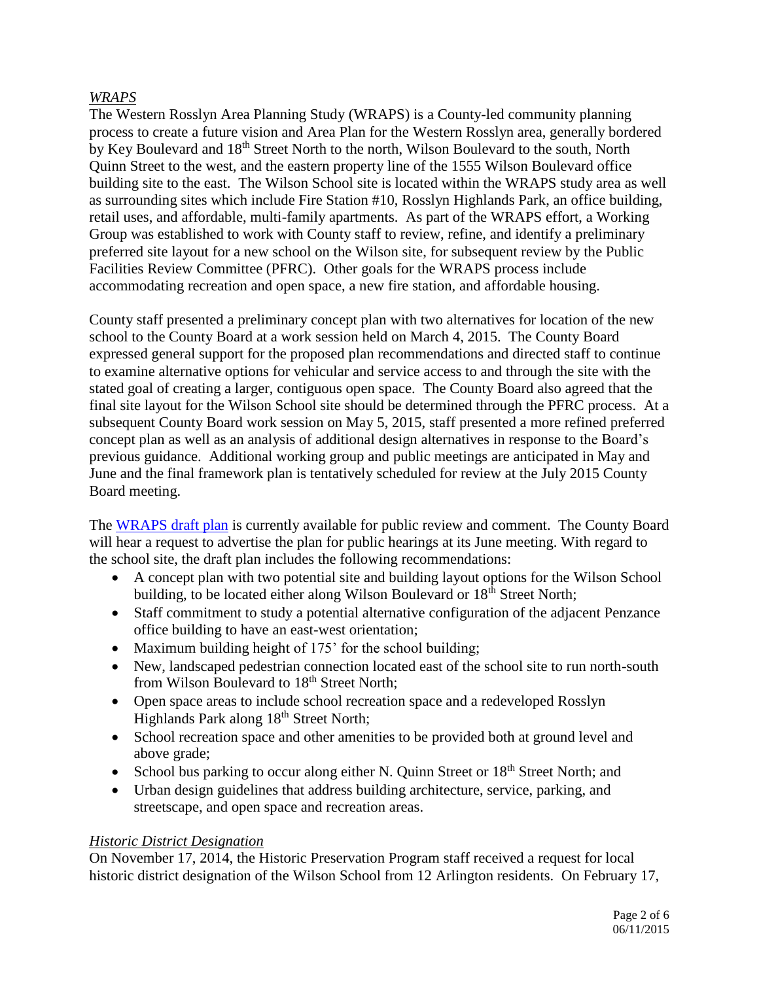# *WRAPS*

The Western Rosslyn Area Planning Study (WRAPS) is a County-led community planning process to create a future vision and Area Plan for the Western Rosslyn area, generally bordered by Key Boulevard and 18<sup>th</sup> Street North to the north, Wilson Boulevard to the south, North Quinn Street to the west, and the eastern property line of the 1555 Wilson Boulevard office building site to the east. The Wilson School site is located within the WRAPS study area as well as surrounding sites which include Fire Station #10, Rosslyn Highlands Park, an office building, retail uses, and affordable, multi-family apartments. As part of the WRAPS effort, a Working Group was established to work with County staff to review, refine, and identify a preliminary preferred site layout for a new school on the Wilson site, for subsequent review by the Public Facilities Review Committee (PFRC). Other goals for the WRAPS process include accommodating recreation and open space, a new fire station, and affordable housing.

County staff presented a preliminary concept plan with two alternatives for location of the new school to the County Board at a work session held on March 4, 2015. The County Board expressed general support for the proposed plan recommendations and directed staff to continue to examine alternative options for vehicular and service access to and through the site with the stated goal of creating a larger, contiguous open space. The County Board also agreed that the final site layout for the Wilson School site should be determined through the PFRC process. At a subsequent County Board work session on May 5, 2015, staff presented a more refined preferred concept plan as well as an analysis of additional design alternatives in response to the Board's previous guidance. Additional working group and public meetings are anticipated in May and June and the final framework plan is tentatively scheduled for review at the July 2015 County Board meeting.

The [WRAPS draft plan](http://arlingtonva.s3.amazonaws.com/wp-content/uploads/sites/31/2015/05/150522_WesternRosslynAreaPlan_v2.pdf) is currently available for public review and comment. The County Board will hear a request to advertise the plan for public hearings at its June meeting. With regard to the school site, the draft plan includes the following recommendations:

- A concept plan with two potential site and building layout options for the Wilson School building, to be located either along Wilson Boulevard or  $18<sup>th</sup>$  Street North;
- Staff commitment to study a potential alternative configuration of the adjacent Penzance office building to have an east-west orientation;
- Maximum building height of 175' for the school building;
- New, landscaped pedestrian connection located east of the school site to run north-south from Wilson Boulevard to 18<sup>th</sup> Street North;
- Open space areas to include school recreation space and a redeveloped Rosslyn Highlands Park along 18<sup>th</sup> Street North;
- School recreation space and other amenities to be provided both at ground level and above grade;
- School bus parking to occur along either N. Quinn Street or  $18<sup>th</sup>$  Street North; and
- Urban design guidelines that address building architecture, service, parking, and streetscape, and open space and recreation areas.

# *Historic District Designation*

On November 17, 2014, the Historic Preservation Program staff received a request for local historic district designation of the Wilson School from 12 Arlington residents. On February 17,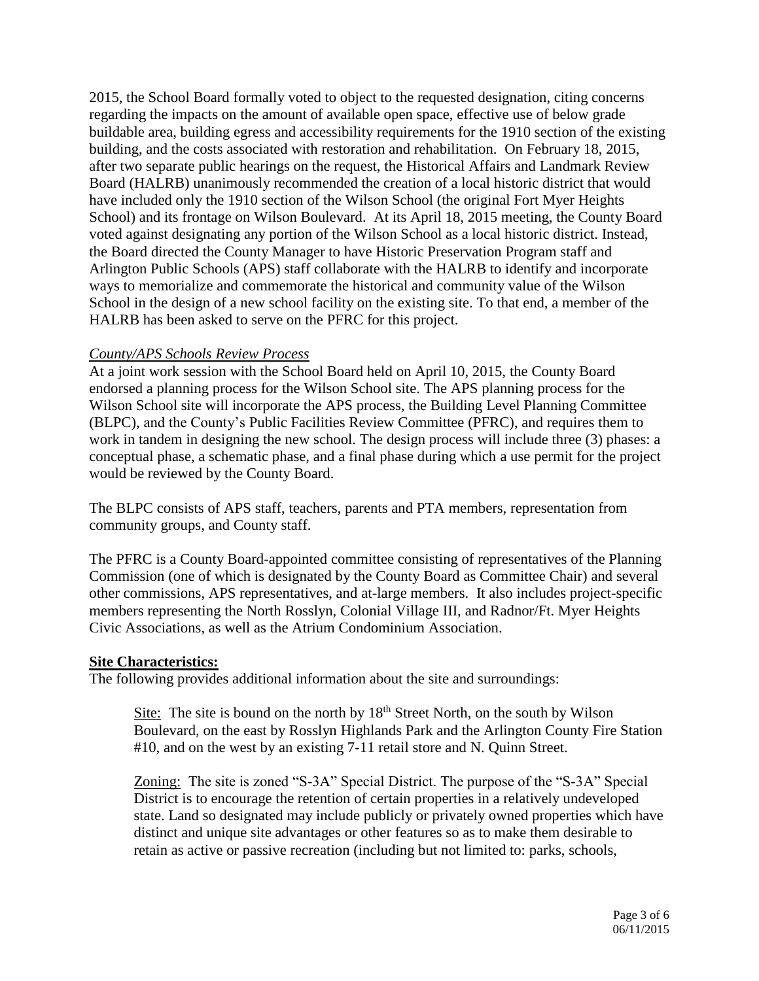2015, the School Board formally voted to object to the requested designation, citing concerns regarding the impacts on the amount of available open space, effective use of below grade buildable area, building egress and accessibility requirements for the 1910 section of the existing building, and the costs associated with restoration and rehabilitation. On February 18, 2015, after two separate public hearings on the request, the Historical Affairs and Landmark Review Board (HALRB) unanimously recommended the creation of a local historic district that would have included only the 1910 section of the Wilson School (the original Fort Myer Heights School) and its frontage on Wilson Boulevard. At its April 18, 2015 meeting, the County Board voted against designating any portion of the Wilson School as a local historic district. Instead, the Board directed the County Manager to have Historic Preservation Program staff and Arlington Public Schools (APS) staff collaborate with the HALRB to identify and incorporate ways to memorialize and commemorate the historical and community value of the Wilson School in the design of a new school facility on the existing site. To that end, a member of the HALRB has been asked to serve on the PFRC for this project.

## *County/APS Schools Review Process*

At a joint work session with the School Board held on April 10, 2015, the County Board endorsed a planning process for the Wilson School site. The APS planning process for the Wilson School site will incorporate the APS process, the Building Level Planning Committee (BLPC), and the County's Public Facilities Review Committee (PFRC), and requires them to work in tandem in designing the new school. The design process will include three (3) phases: a conceptual phase, a schematic phase, and a final phase during which a use permit for the project would be reviewed by the County Board.

The BLPC consists of APS staff, teachers, parents and PTA members, representation from community groups, and County staff.

The PFRC is a County Board-appointed committee consisting of representatives of the Planning Commission (one of which is designated by the County Board as Committee Chair) and several other commissions, APS representatives, and at-large members. It also includes project-specific members representing the North Rosslyn, Colonial Village III, and Radnor/Ft. Myer Heights Civic Associations, as well as the Atrium Condominium Association.

## **Site Characteristics:**

The following provides additional information about the site and surroundings:

Site: The site is bound on the north by  $18<sup>th</sup>$  Street North, on the south by Wilson Boulevard, on the east by Rosslyn Highlands Park and the Arlington County Fire Station #10, and on the west by an existing 7-11 retail store and N. Quinn Street.

Zoning: The site is zoned "S-3A" Special District. The purpose of the "S-3A" Special District is to encourage the retention of certain properties in a relatively undeveloped state. Land so designated may include publicly or privately owned properties which have distinct and unique site advantages or other features so as to make them desirable to retain as active or passive recreation (including but not limited to: parks, schools,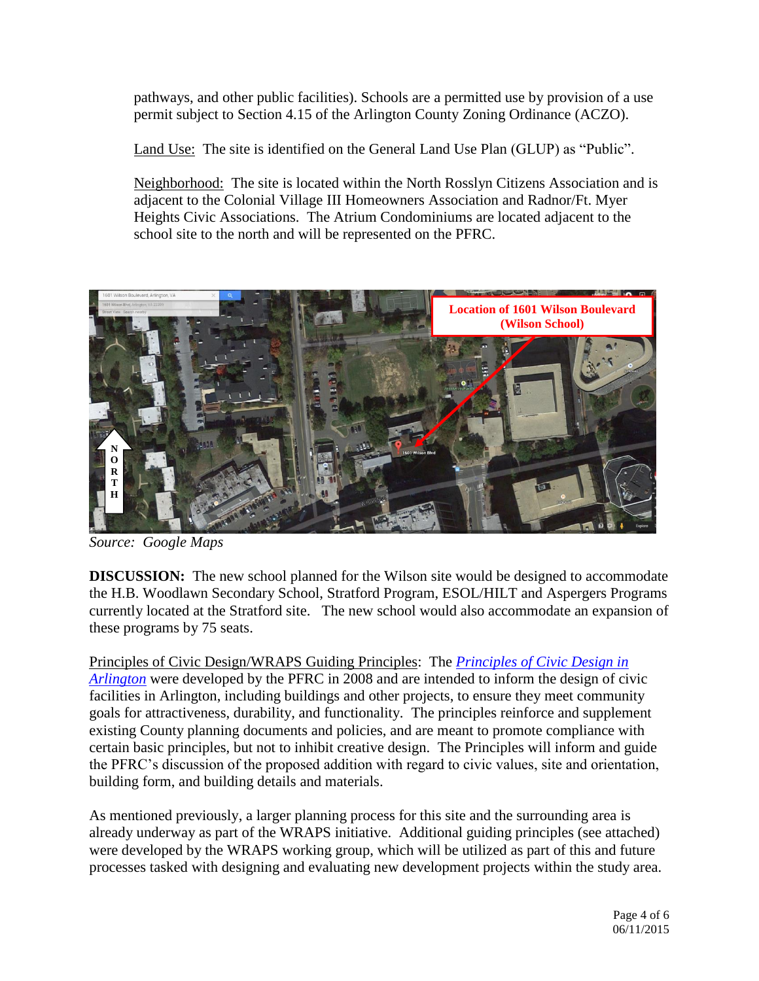pathways, and other public facilities). Schools are a permitted use by provision of a use permit subject to Section 4.15 of the Arlington County Zoning Ordinance (ACZO).

Land Use: The site is identified on the General Land Use Plan (GLUP) as "Public".

Neighborhood: The site is located within the North Rosslyn Citizens Association and is adjacent to the Colonial Village III Homeowners Association and Radnor/Ft. Myer Heights Civic Associations. The Atrium Condominiums are located adjacent to the school site to the north and will be represented on the PFRC.



*Source: Google Maps*

**DISCUSSION:** The new school planned for the Wilson site would be designed to accommodate the H.B. Woodlawn Secondary School, Stratford Program, ESOL/HILT and Aspergers Programs currently located at the Stratford site. The new school would also accommodate an expansion of these programs by 75 seats.

Principles of Civic Design/WRAPS Guiding Principles: The *[Principles of Civic Design in](http://commissions.arlingtonva.us/planning-commission/public-facilities-review-committee-pfrc/pfrc-principles-civic-design/)  [Arlington](http://commissions.arlingtonva.us/planning-commission/public-facilities-review-committee-pfrc/pfrc-principles-civic-design/)* were developed by the PFRC in 2008 and are intended to inform the design of civic facilities in Arlington, including buildings and other projects, to ensure they meet community goals for attractiveness, durability, and functionality. The principles reinforce and supplement existing County planning documents and policies, and are meant to promote compliance with certain basic principles, but not to inhibit creative design. The Principles will inform and guide the PFRC's discussion of the proposed addition with regard to civic values, site and orientation, building form, and building details and materials.

As mentioned previously, a larger planning process for this site and the surrounding area is already underway as part of the WRAPS initiative. Additional guiding principles (see attached) were developed by the WRAPS working group, which will be utilized as part of this and future processes tasked with designing and evaluating new development projects within the study area.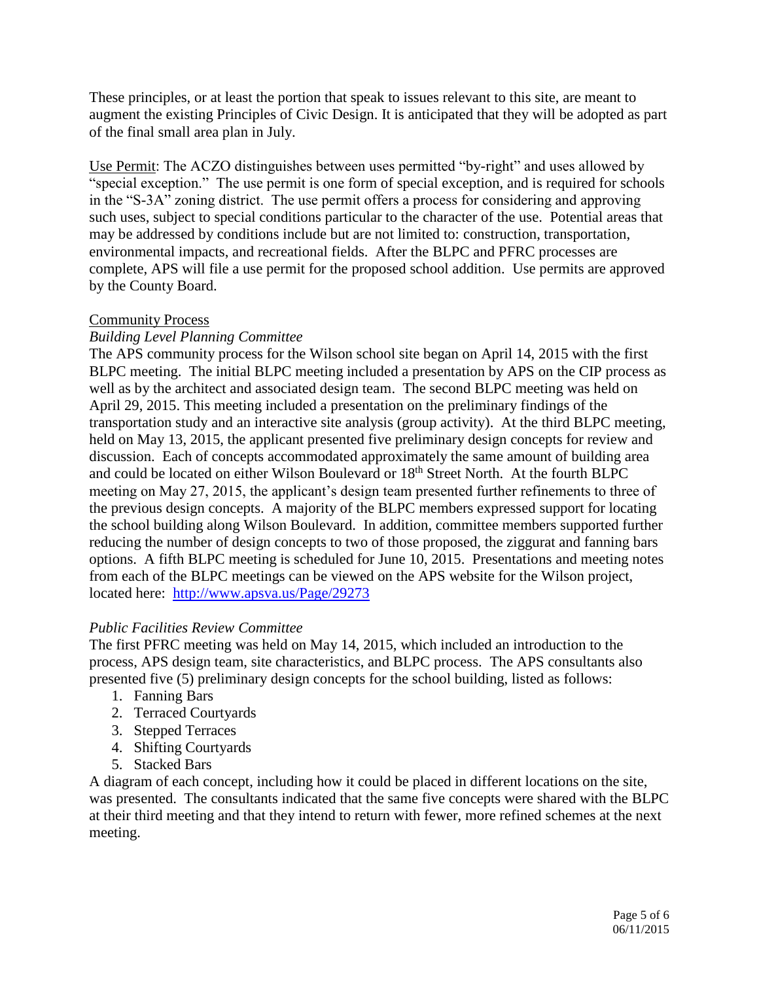These principles, or at least the portion that speak to issues relevant to this site, are meant to augment the existing Principles of Civic Design. It is anticipated that they will be adopted as part of the final small area plan in July.

Use Permit: The ACZO distinguishes between uses permitted "by-right" and uses allowed by "special exception." The use permit is one form of special exception, and is required for schools in the "S-3A" zoning district. The use permit offers a process for considering and approving such uses, subject to special conditions particular to the character of the use. Potential areas that may be addressed by conditions include but are not limited to: construction, transportation, environmental impacts, and recreational fields. After the BLPC and PFRC processes are complete, APS will file a use permit for the proposed school addition. Use permits are approved by the County Board.

# Community Process

# *Building Level Planning Committee*

The APS community process for the Wilson school site began on April 14, 2015 with the first BLPC meeting. The initial BLPC meeting included a presentation by APS on the CIP process as well as by the architect and associated design team. The second BLPC meeting was held on April 29, 2015. This meeting included a presentation on the preliminary findings of the transportation study and an interactive site analysis (group activity). At the third BLPC meeting, held on May 13, 2015, the applicant presented five preliminary design concepts for review and discussion. Each of concepts accommodated approximately the same amount of building area and could be located on either Wilson Boulevard or 18<sup>th</sup> Street North. At the fourth BLPC meeting on May 27, 2015, the applicant's design team presented further refinements to three of the previous design concepts. A majority of the BLPC members expressed support for locating the school building along Wilson Boulevard. In addition, committee members supported further reducing the number of design concepts to two of those proposed, the ziggurat and fanning bars options. A fifth BLPC meeting is scheduled for June 10, 2015. Presentations and meeting notes from each of the BLPC meetings can be viewed on the APS website for the Wilson project, located here: <http://www.apsva.us/Page/29273>

# *Public Facilities Review Committee*

The first PFRC meeting was held on May 14, 2015, which included an introduction to the process, APS design team, site characteristics, and BLPC process. The APS consultants also presented five (5) preliminary design concepts for the school building, listed as follows:

- 1. Fanning Bars
- 2. Terraced Courtyards
- 3. Stepped Terraces
- 4. Shifting Courtyards
- 5. Stacked Bars

A diagram of each concept, including how it could be placed in different locations on the site, was presented. The consultants indicated that the same five concepts were shared with the BLPC at their third meeting and that they intend to return with fewer, more refined schemes at the next meeting.